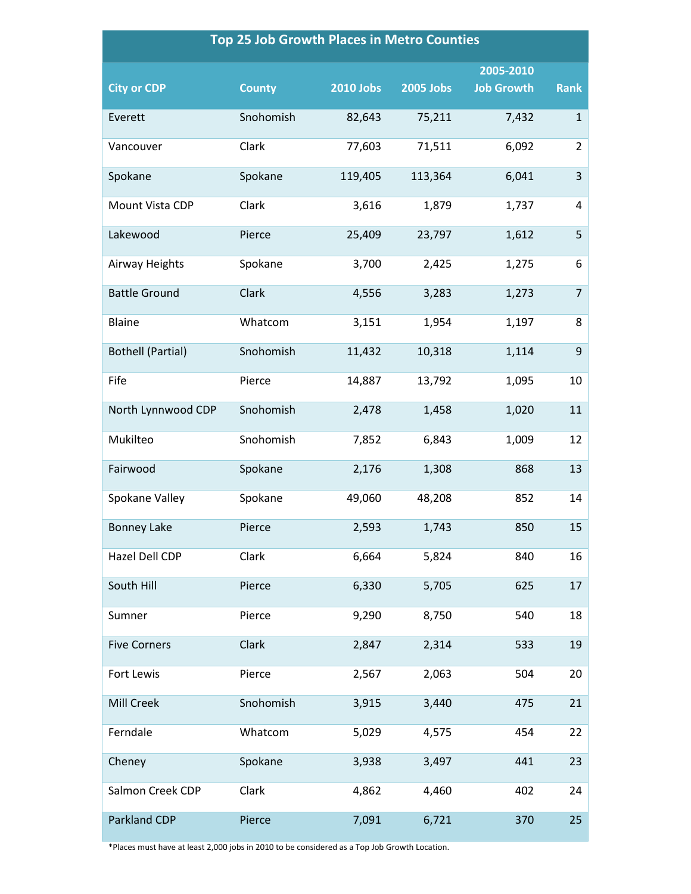## **Top 25 Job Growth Places in Metro Counties**

| <b>City or CDP</b>       | <b>County</b> | <b>2010 Jobs</b> | <b>2005 Jobs</b> | 2005-2010<br><b>Job Growth</b> | <b>Rank</b>    |
|--------------------------|---------------|------------------|------------------|--------------------------------|----------------|
| Everett                  | Snohomish     | 82,643           | 75,211           | 7,432                          | $\mathbf{1}$   |
| Vancouver                | Clark         | 77,603           | 71,511           | 6,092                          | $\overline{2}$ |
| Spokane                  | Spokane       | 119,405          | 113,364          | 6,041                          | 3              |
| Mount Vista CDP          | Clark         | 3,616            | 1,879            | 1,737                          | 4              |
| Lakewood                 | Pierce        | 25,409           | 23,797           | 1,612                          | 5              |
| Airway Heights           | Spokane       | 3,700            | 2,425            | 1,275                          | 6              |
| <b>Battle Ground</b>     | Clark         | 4,556            | 3,283            | 1,273                          | $\overline{7}$ |
| Blaine                   | Whatcom       | 3,151            | 1,954            | 1,197                          | 8              |
| <b>Bothell (Partial)</b> | Snohomish     | 11,432           | 10,318           | 1,114                          | $\overline{9}$ |
| Fife                     | Pierce        | 14,887           | 13,792           | 1,095                          | 10             |
| North Lynnwood CDP       | Snohomish     | 2,478            | 1,458            | 1,020                          | 11             |
| Mukilteo                 | Snohomish     | 7,852            | 6,843            | 1,009                          | 12             |
| Fairwood                 | Spokane       | 2,176            | 1,308            | 868                            | 13             |
| Spokane Valley           | Spokane       | 49,060           | 48,208           | 852                            | 14             |
| <b>Bonney Lake</b>       | Pierce        | 2,593            | 1,743            | 850                            | 15             |
| Hazel Dell CDP           | Clark         | 6,664            | 5,824            | 840                            | 16             |
| South Hill               | Pierce        | 6,330            | 5,705            | 625                            | 17             |
| Sumner                   | Pierce        | 9,290            | 8,750            | 540                            | 18             |
| <b>Five Corners</b>      | Clark         | 2,847            | 2,314            | 533                            | 19             |
| Fort Lewis               | Pierce        | 2,567            | 2,063            | 504                            | 20             |
| Mill Creek               | Snohomish     | 3,915            | 3,440            | 475                            | 21             |
| Ferndale                 | Whatcom       | 5,029            | 4,575            | 454                            | 22             |
| Cheney                   | Spokane       | 3,938            | 3,497            | 441                            | 23             |
| Salmon Creek CDP         | Clark         | 4,862            | 4,460            | 402                            | 24             |
| Parkland CDP             | Pierce        | 7,091            | 6,721            | 370                            | 25             |

\*Places must have at least 2,000 jobs in 2010 to be considered as a Top Job Growth Location.